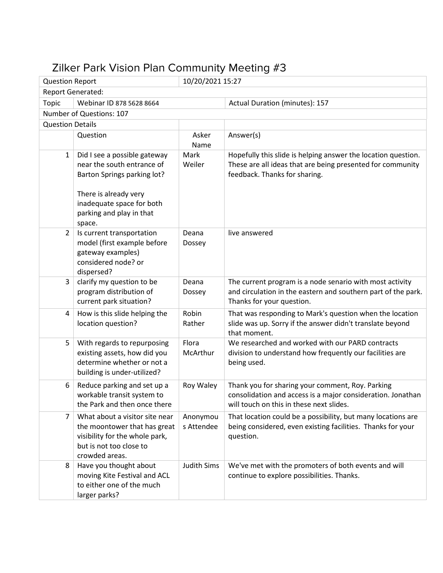## Zilker Park Vision Plan Community Meeting #3

| <b>Question Report</b>   |                                                                                                                                               | 10/20/2021 15:27       |                                                                                                                                                              |
|--------------------------|-----------------------------------------------------------------------------------------------------------------------------------------------|------------------------|--------------------------------------------------------------------------------------------------------------------------------------------------------------|
| <b>Report Generated:</b> |                                                                                                                                               |                        |                                                                                                                                                              |
| <b>Topic</b>             | Webinar ID 878 5628 8664                                                                                                                      |                        | Actual Duration (minutes): 157                                                                                                                               |
|                          | Number of Questions: 107                                                                                                                      |                        |                                                                                                                                                              |
| <b>Question Details</b>  |                                                                                                                                               |                        |                                                                                                                                                              |
|                          | Question                                                                                                                                      | Asker<br>Name          | Answer(s)                                                                                                                                                    |
| $\mathbf{1}$             | Did I see a possible gateway<br>near the south entrance of<br>Barton Springs parking lot?                                                     | Mark<br>Weiler         | Hopefully this slide is helping answer the location question.<br>These are all ideas that are being presented for community<br>feedback. Thanks for sharing. |
|                          | There is already very<br>inadequate space for both<br>parking and play in that<br>space.                                                      |                        |                                                                                                                                                              |
| $\overline{2}$           | Is current transportation<br>model (first example before<br>gateway examples)<br>considered node? or<br>dispersed?                            | Deana<br>Dossey        | live answered                                                                                                                                                |
| 3                        | clarify my question to be<br>program distribution of<br>current park situation?                                                               | Deana<br>Dossey        | The current program is a node senario with most activity<br>and circulation in the eastern and southern part of the park.<br>Thanks for your question.       |
| 4                        | How is this slide helping the<br>location question?                                                                                           | Robin<br>Rather        | That was responding to Mark's question when the location<br>slide was up. Sorry if the answer didn't translate beyond<br>that moment.                        |
| 5                        | With regards to repurposing<br>existing assets, how did you<br>determine whether or not a<br>building is under-utilized?                      | Flora<br>McArthur      | We researched and worked with our PARD contracts<br>division to understand how frequently our facilities are<br>being used.                                  |
| 6                        | Reduce parking and set up a<br>workable transit system to<br>the Park and then once there                                                     | Roy Waley              | Thank you for sharing your comment, Roy. Parking<br>consolidation and access is a major consideration. Jonathan<br>will touch on this in these next slides.  |
| 7                        | What about a visitor site near<br>the moontower that has great<br>visibility for the whole park,<br>but is not too close to<br>crowded areas. | Anonymou<br>s Attendee | That location could be a possibility, but many locations are<br>being considered, even existing facilities. Thanks for your<br>question.                     |
| 8                        | Have you thought about<br>moving Kite Festival and ACL<br>to either one of the much<br>larger parks?                                          | <b>Judith Sims</b>     | We've met with the promoters of both events and will<br>continue to explore possibilities. Thanks.                                                           |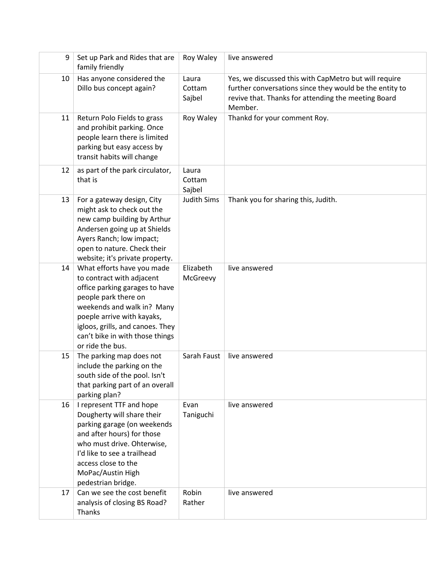| 9  | Set up Park and Rides that are<br>family friendly                                                                                                                                                                                                                        | Roy Waley                 | live answered                                                                                                                                                                      |
|----|--------------------------------------------------------------------------------------------------------------------------------------------------------------------------------------------------------------------------------------------------------------------------|---------------------------|------------------------------------------------------------------------------------------------------------------------------------------------------------------------------------|
| 10 | Has anyone considered the<br>Dillo bus concept again?                                                                                                                                                                                                                    | Laura<br>Cottam<br>Sajbel | Yes, we discussed this with CapMetro but will require<br>further conversations since they would be the entity to<br>revive that. Thanks for attending the meeting Board<br>Member. |
| 11 | Return Polo Fields to grass<br>and prohibit parking. Once<br>people learn there is limited<br>parking but easy access by<br>transit habits will change                                                                                                                   | Roy Waley                 | Thankd for your comment Roy.                                                                                                                                                       |
| 12 | as part of the park circulator,<br>that is                                                                                                                                                                                                                               | Laura<br>Cottam<br>Sajbel |                                                                                                                                                                                    |
| 13 | For a gateway design, City<br>might ask to check out the<br>new camp building by Arthur<br>Andersen going up at Shields<br>Ayers Ranch; low impact;<br>open to nature. Check their<br>website; it's private property.                                                    | <b>Judith Sims</b>        | Thank you for sharing this, Judith.                                                                                                                                                |
| 14 | What efforts have you made<br>to contract with adjacent<br>office parking garages to have<br>people park there on<br>weekends and walk in? Many<br>poeple arrive with kayaks,<br>igloos, grills, and canoes. They<br>can't bike in with those things<br>or ride the bus. | Elizabeth<br>McGreevy     | live answered                                                                                                                                                                      |
| 15 | The parking map does not<br>include the parking on the<br>south side of the pool. Isn't<br>that parking part of an overall<br>parking plan?                                                                                                                              | Sarah Faust               | live answered                                                                                                                                                                      |
| 16 | I represent TTF and hope<br>Dougherty will share their<br>parking garage (on weekends<br>and after hours) for those<br>who must drive. Ohterwise,<br>I'd like to see a trailhead<br>access close to the<br>MoPac/Austin High<br>pedestrian bridge.                       | Evan<br>Taniguchi         | live answered                                                                                                                                                                      |
| 17 | Can we see the cost benefit<br>analysis of closing BS Road?<br>Thanks                                                                                                                                                                                                    | Robin<br>Rather           | live answered                                                                                                                                                                      |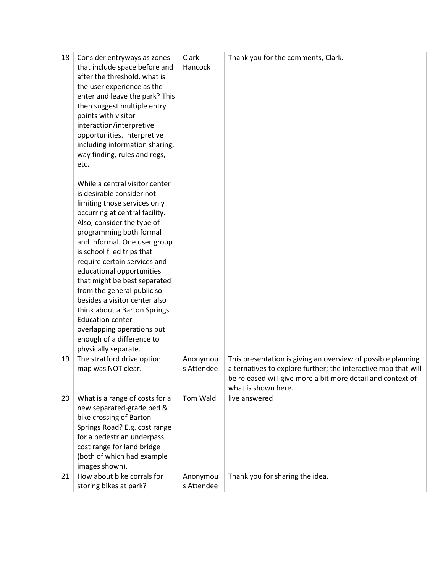| 18 | Consider entryways as zones<br>that include space before and<br>after the threshold, what is<br>the user experience as the<br>enter and leave the park? This<br>then suggest multiple entry<br>points with visitor<br>interaction/interpretive<br>opportunities. Interpretive<br>including information sharing,<br>way finding, rules and regs,<br>etc.                                                                                                                                                                                                          | Clark<br>Hancock       | Thank you for the comments, Clark.                                                                                                                                                                                   |
|----|------------------------------------------------------------------------------------------------------------------------------------------------------------------------------------------------------------------------------------------------------------------------------------------------------------------------------------------------------------------------------------------------------------------------------------------------------------------------------------------------------------------------------------------------------------------|------------------------|----------------------------------------------------------------------------------------------------------------------------------------------------------------------------------------------------------------------|
|    | While a central visitor center<br>is desirable consider not<br>limiting those services only<br>occurring at central facility.<br>Also, consider the type of<br>programming both formal<br>and informal. One user group<br>is school filed trips that<br>require certain services and<br>educational opportunities<br>that might be best separated<br>from the general public so<br>besides a visitor center also<br>think about a Barton Springs<br><b>Education center -</b><br>overlapping operations but<br>enough of a difference to<br>physically separate. |                        |                                                                                                                                                                                                                      |
| 19 | The stratford drive option<br>map was NOT clear.                                                                                                                                                                                                                                                                                                                                                                                                                                                                                                                 | Anonymou<br>s Attendee | This presentation is giving an overview of possible planning<br>alternatives to explore further; the interactive map that will<br>be released will give more a bit more detail and context of<br>what is shown here. |
| 20 | What is a range of costs for a<br>new separated-grade ped &<br>bike crossing of Barton<br>Springs Road? E.g. cost range<br>for a pedestrian underpass,<br>cost range for land bridge<br>(both of which had example<br>images shown).                                                                                                                                                                                                                                                                                                                             | Tom Wald               | live answered                                                                                                                                                                                                        |
| 21 | How about bike corrals for<br>storing bikes at park?                                                                                                                                                                                                                                                                                                                                                                                                                                                                                                             | Anonymou<br>s Attendee | Thank you for sharing the idea.                                                                                                                                                                                      |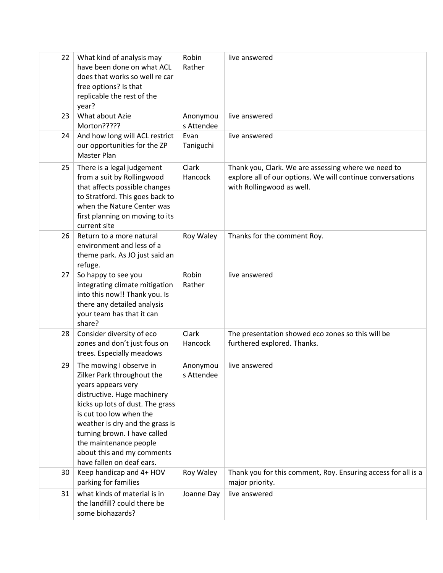| 22 | What kind of analysis may<br>have been done on what ACL<br>does that works so well re car<br>free options? Is that<br>replicable the rest of the<br>year?                                                                                                                                                                         | Robin<br>Rather        | live answered                                                                                                                                  |
|----|-----------------------------------------------------------------------------------------------------------------------------------------------------------------------------------------------------------------------------------------------------------------------------------------------------------------------------------|------------------------|------------------------------------------------------------------------------------------------------------------------------------------------|
| 23 | What about Azie<br>Morton?????                                                                                                                                                                                                                                                                                                    | Anonymou<br>s Attendee | live answered                                                                                                                                  |
| 24 | And how long will ACL restrict<br>our opportunities for the ZP<br>Master Plan                                                                                                                                                                                                                                                     | Evan<br>Taniguchi      | live answered                                                                                                                                  |
| 25 | There is a legal judgement<br>from a suit by Rollingwood<br>that affects possible changes<br>to Stratford. This goes back to<br>when the Nature Center was<br>first planning on moving to its<br>current site                                                                                                                     | Clark<br>Hancock       | Thank you, Clark. We are assessing where we need to<br>explore all of our options. We will continue conversations<br>with Rollingwood as well. |
| 26 | Return to a more natural<br>environment and less of a<br>theme park. As JO just said an<br>refuge.                                                                                                                                                                                                                                | Roy Waley              | Thanks for the comment Roy.                                                                                                                    |
| 27 | So happy to see you<br>integrating climate mitigation<br>into this now!! Thank you. Is<br>there any detailed analysis<br>your team has that it can<br>share?                                                                                                                                                                      | Robin<br>Rather        | live answered                                                                                                                                  |
| 28 | Consider diversity of eco<br>zones and don't just fous on<br>trees. Especially meadows                                                                                                                                                                                                                                            | Clark<br>Hancock       | The presentation showed eco zones so this will be<br>furthered explored. Thanks.                                                               |
| 29 | The mowing I observe in<br>Zilker Park throughout the<br>years appears very<br>distructive. Huge machinery<br>kicks up lots of dust. The grass<br>is cut too low when the<br>weather is dry and the grass is<br>turning brown. I have called<br>the maintenance people<br>about this and my comments<br>have fallen on deaf ears. | Anonymou<br>s Attendee | live answered                                                                                                                                  |
| 30 | Keep handicap and 4+ HOV<br>parking for families                                                                                                                                                                                                                                                                                  | Roy Waley              | Thank you for this comment, Roy. Ensuring access for all is a<br>major priority.                                                               |
| 31 | what kinds of material is in<br>the landfill? could there be<br>some biohazards?                                                                                                                                                                                                                                                  | Joanne Day             | live answered                                                                                                                                  |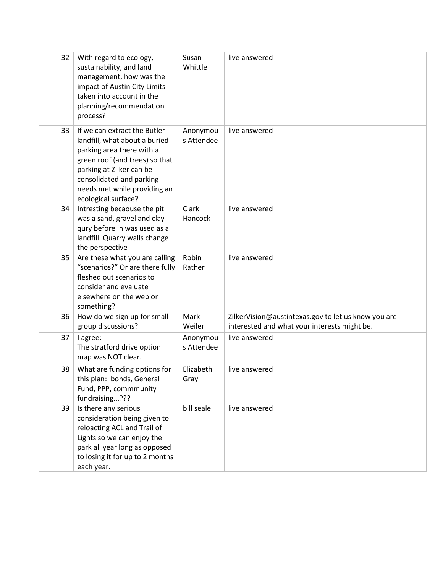| 32 | With regard to ecology,<br>sustainability, and land<br>management, how was the<br>impact of Austin City Limits<br>taken into account in the<br>planning/recommendation<br>process?                                                          | Susan<br>Whittle       | live answered                                                                                       |
|----|---------------------------------------------------------------------------------------------------------------------------------------------------------------------------------------------------------------------------------------------|------------------------|-----------------------------------------------------------------------------------------------------|
| 33 | If we can extract the Butler<br>landfill, what about a buried<br>parking area there with a<br>green roof (and trees) so that<br>parking at Zilker can be<br>consolidated and parking<br>needs met while providing an<br>ecological surface? | Anonymou<br>s Attendee | live answered                                                                                       |
| 34 | Intresting becaouse the pit<br>was a sand, gravel and clay<br>qury before in was used as a<br>landfill. Quarry walls change<br>the perspective                                                                                              | Clark<br>Hancock       | live answered                                                                                       |
| 35 | Are these what you are calling<br>"scenarios?" Or are there fully<br>fleshed out scenarios to<br>consider and evaluate<br>elsewhere on the web or<br>something?                                                                             | Robin<br>Rather        | live answered                                                                                       |
| 36 | How do we sign up for small<br>group discussions?                                                                                                                                                                                           | Mark<br>Weiler         | ZilkerVision@austintexas.gov to let us know you are<br>interested and what your interests might be. |
| 37 | I agree:<br>The stratford drive option<br>map was NOT clear.                                                                                                                                                                                | Anonymou<br>s Attendee | live answered                                                                                       |
| 38 | What are funding options for<br>this plan: bonds, General<br>Fund, PPP, commmunity<br>fundraising???                                                                                                                                        | Elizabeth<br>Gray      | live answered                                                                                       |
| 39 | Is there any serious<br>consideration being given to<br>reloacting ACL and Trail of<br>Lights so we can enjoy the<br>park all year long as opposed<br>to losing it for up to 2 months<br>each year.                                         | bill seale             | live answered                                                                                       |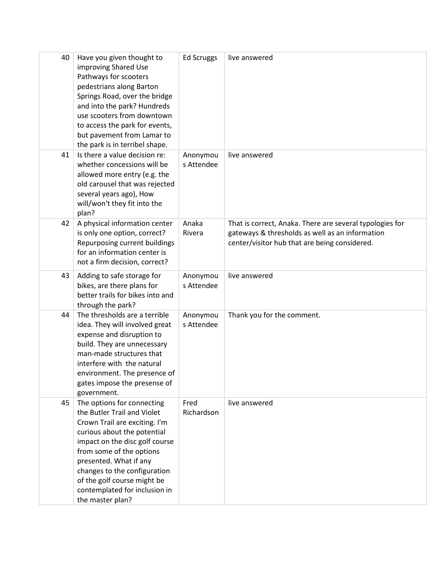| 40 | Have you given thought to        | <b>Ed Scruggs</b> | live answered                                            |
|----|----------------------------------|-------------------|----------------------------------------------------------|
|    | improving Shared Use             |                   |                                                          |
|    | Pathways for scooters            |                   |                                                          |
|    | pedestrians along Barton         |                   |                                                          |
|    | Springs Road, over the bridge    |                   |                                                          |
|    | and into the park? Hundreds      |                   |                                                          |
|    | use scooters from downtown       |                   |                                                          |
|    | to access the park for events,   |                   |                                                          |
|    | but pavement from Lamar to       |                   |                                                          |
|    | the park is in terribel shape.   |                   |                                                          |
| 41 | Is there a value decision re:    | Anonymou          | live answered                                            |
|    | whether concessions will be      | s Attendee        |                                                          |
|    | allowed more entry (e.g. the     |                   |                                                          |
|    | old carousel that was rejected   |                   |                                                          |
|    | several years ago), How          |                   |                                                          |
|    | will/won't they fit into the     |                   |                                                          |
|    | plan?                            |                   |                                                          |
| 42 | A physical information center    | Anaka             | That is correct, Anaka. There are several typologies for |
|    | is only one option, correct?     | Rivera            | gateways & thresholds as well as an information          |
|    | Repurposing current buildings    |                   | center/visitor hub that are being considered.            |
|    | for an information center is     |                   |                                                          |
|    | not a firm decision, correct?    |                   |                                                          |
|    |                                  |                   |                                                          |
| 43 | Adding to safe storage for       | Anonymou          | live answered                                            |
|    | bikes, are there plans for       | s Attendee        |                                                          |
|    | better trails for bikes into and |                   |                                                          |
|    | through the park?                |                   |                                                          |
| 44 | The thresholds are a terrible    | Anonymou          | Thank you for the comment.                               |
|    | idea. They will involved great   | s Attendee        |                                                          |
|    | expense and disruption to        |                   |                                                          |
|    | build. They are unnecessary      |                   |                                                          |
|    | man-made structures that         |                   |                                                          |
|    | interfere with the natural       |                   |                                                          |
|    | environment. The presence of     |                   |                                                          |
|    | gates impose the presense of     |                   |                                                          |
|    | government.                      |                   |                                                          |
| 45 | The options for connecting       | Fred              | live answered                                            |
|    | the Butler Trail and Violet      | Richardson        |                                                          |
|    | Crown Trail are exciting. I'm    |                   |                                                          |
|    | curious about the potential      |                   |                                                          |
|    | impact on the disc golf course   |                   |                                                          |
|    | from some of the options         |                   |                                                          |
|    | presented. What if any           |                   |                                                          |
|    | changes to the configuration     |                   |                                                          |
|    | of the golf course might be      |                   |                                                          |
|    | contemplated for inclusion in    |                   |                                                          |
|    | the master plan?                 |                   |                                                          |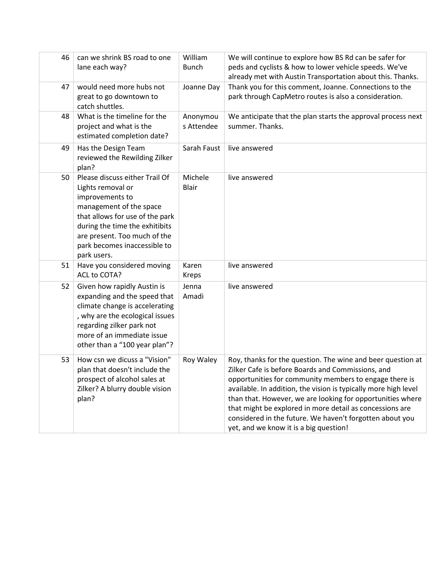| 46 | can we shrink BS road to one<br>lane each way?                                                                                                                                                                                                        | William<br><b>Bunch</b> | We will continue to explore how BS Rd can be safer for<br>peds and cyclists & how to lower vehicle speeds. We've<br>already met with Austin Transportation about this. Thanks.                                                                                                                                                                                                                                                                                                |
|----|-------------------------------------------------------------------------------------------------------------------------------------------------------------------------------------------------------------------------------------------------------|-------------------------|-------------------------------------------------------------------------------------------------------------------------------------------------------------------------------------------------------------------------------------------------------------------------------------------------------------------------------------------------------------------------------------------------------------------------------------------------------------------------------|
| 47 | would need more hubs not<br>great to go downtown to<br>catch shuttles.                                                                                                                                                                                | Joanne Day              | Thank you for this comment, Joanne. Connections to the<br>park through CapMetro routes is also a consideration.                                                                                                                                                                                                                                                                                                                                                               |
| 48 | What is the timeline for the<br>project and what is the<br>estimated completion date?                                                                                                                                                                 | Anonymou<br>s Attendee  | We anticipate that the plan starts the approval process next<br>summer. Thanks.                                                                                                                                                                                                                                                                                                                                                                                               |
| 49 | Has the Design Team<br>reviewed the Rewilding Zilker<br>plan?                                                                                                                                                                                         | Sarah Faust             | live answered                                                                                                                                                                                                                                                                                                                                                                                                                                                                 |
| 50 | Please discuss either Trail Of<br>Lights removal or<br>improvements to<br>management of the space<br>that allows for use of the park<br>during the time the exhitibits<br>are present. Too much of the<br>park becomes inaccessible to<br>park users. | Michele<br><b>Blair</b> | live answered                                                                                                                                                                                                                                                                                                                                                                                                                                                                 |
| 51 | Have you considered moving<br>ACL to COTA?                                                                                                                                                                                                            | Karen<br><b>Kreps</b>   | live answered                                                                                                                                                                                                                                                                                                                                                                                                                                                                 |
| 52 | Given how rapidly Austin is<br>expanding and the speed that<br>climate change is accelerating<br>, why are the ecological issues<br>regarding zilker park not<br>more of an immediate issue<br>other than a "100 year plan"?                          | Jenna<br>Amadi          | live answered                                                                                                                                                                                                                                                                                                                                                                                                                                                                 |
| 53 | How csn we dicuss a "Vision"<br>plan that doesn't include the<br>prospect of alcohol sales at<br>Zilker? A blurry double vision<br>plan?                                                                                                              | Roy Waley               | Roy, thanks for the question. The wine and beer question at<br>Zilker Cafe is before Boards and Commissions, and<br>opportunities for community members to engage there is<br>available. In addition, the vision is typically more high level<br>than that. However, we are looking for opportunities where<br>that might be explored in more detail as concessions are<br>considered in the future. We haven't forgotten about you<br>yet, and we know it is a big question! |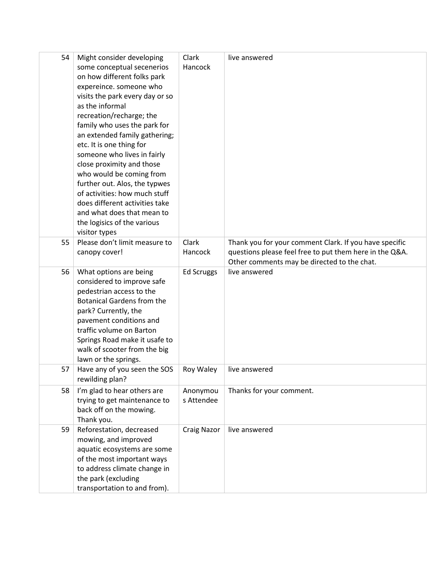| 54 | Might consider developing         | Clark              | live answered                                           |
|----|-----------------------------------|--------------------|---------------------------------------------------------|
|    | some conceptual secenerios        | Hancock            |                                                         |
|    | on how different folks park       |                    |                                                         |
|    | expereince. someone who           |                    |                                                         |
|    | visits the park every day or so   |                    |                                                         |
|    | as the informal                   |                    |                                                         |
|    | recreation/recharge; the          |                    |                                                         |
|    | family who uses the park for      |                    |                                                         |
|    | an extended family gathering;     |                    |                                                         |
|    | etc. It is one thing for          |                    |                                                         |
|    | someone who lives in fairly       |                    |                                                         |
|    | close proximity and those         |                    |                                                         |
|    | who would be coming from          |                    |                                                         |
|    | further out. Alos, the typwes     |                    |                                                         |
|    | of activities: how much stuff     |                    |                                                         |
|    | does different activities take    |                    |                                                         |
|    | and what does that mean to        |                    |                                                         |
|    | the logisics of the various       |                    |                                                         |
|    | visitor types                     |                    |                                                         |
| 55 | Please don't limit measure to     | Clark              | Thank you for your comment Clark. If you have specific  |
|    | canopy cover!                     | Hancock            | questions please feel free to put them here in the Q&A. |
|    |                                   |                    | Other comments may be directed to the chat.             |
| 56 | What options are being            | <b>Ed Scruggs</b>  | live answered                                           |
|    | considered to improve safe        |                    |                                                         |
|    | pedestrian access to the          |                    |                                                         |
|    | <b>Botanical Gardens from the</b> |                    |                                                         |
|    | park? Currently, the              |                    |                                                         |
|    | pavement conditions and           |                    |                                                         |
|    | traffic volume on Barton          |                    |                                                         |
|    | Springs Road make it usafe to     |                    |                                                         |
|    | walk of scooter from the big      |                    |                                                         |
|    | lawn or the springs.              |                    |                                                         |
| 57 | Have any of you seen the SOS      | Roy Waley          | live answered                                           |
|    | rewilding plan?                   |                    |                                                         |
| 58 | I'm glad to hear others are       | Anonymou           | Thanks for your comment.                                |
|    | trying to get maintenance to      | s Attendee         |                                                         |
|    | back off on the mowing.           |                    |                                                         |
|    | Thank you.                        |                    |                                                         |
| 59 | Reforestation, decreased          | <b>Craig Nazor</b> | live answered                                           |
|    | mowing, and improved              |                    |                                                         |
|    | aquatic ecosystems are some       |                    |                                                         |
|    | of the most important ways        |                    |                                                         |
|    | to address climate change in      |                    |                                                         |
|    | the park (excluding               |                    |                                                         |
|    | transportation to and from).      |                    |                                                         |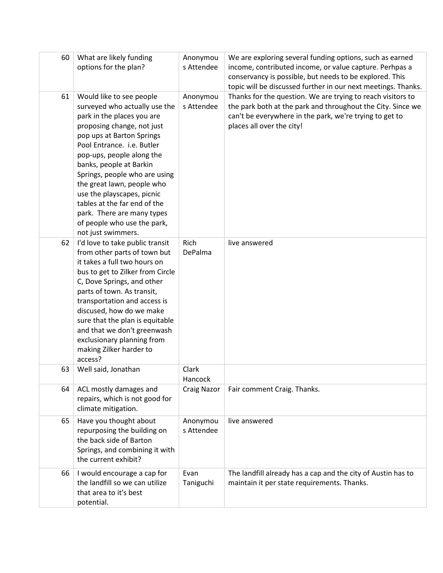| 60 | What are likely funding<br>options for the plan?                                                                                                                                                                                                                                                                                                                                                                                                         | Anonymou<br>s Attendee | We are exploring several funding options, such as earned<br>income, contributed income, or value capture. Perhpas a<br>conservancy is possible, but needs to be explored. This<br>topic will be discussed further in our next meetings. Thanks. |
|----|----------------------------------------------------------------------------------------------------------------------------------------------------------------------------------------------------------------------------------------------------------------------------------------------------------------------------------------------------------------------------------------------------------------------------------------------------------|------------------------|-------------------------------------------------------------------------------------------------------------------------------------------------------------------------------------------------------------------------------------------------|
| 61 | Would like to see people<br>surveyed who actually use the<br>park in the places you are<br>proposing change, not just<br>pop ups at Barton Springs<br>Pool Entrance. i.e. Butler<br>pop-ups, people along the<br>banks, people at Barkin<br>Springs, people who are using<br>the great lawn, people who<br>use the playscapes, picnic<br>tables at the far end of the<br>park. There are many types<br>of people who use the park,<br>not just swimmers. | Anonymou<br>s Attendee | Thanks for the question. We are trying to reach visitors to<br>the park both at the park and throughout the City. Since we<br>can't be everywhere in the park, we're trying to get to<br>places all over the city!                              |
| 62 | I'd love to take public transit<br>from other parts of town but<br>it takes a full two hours on<br>bus to get to Zilker from Circle<br>C, Dove Springs, and other<br>parts of town. As transit,<br>transportation and access is<br>discused, how do we make<br>sure that the plan is equitable<br>and that we don't greenwash<br>exclusionary planning from<br>making Zilker harder to<br>access?                                                        | Rich<br>DePalma        | live answered                                                                                                                                                                                                                                   |
| 63 | Well said, Jonathan                                                                                                                                                                                                                                                                                                                                                                                                                                      | Clark<br>Hancock       |                                                                                                                                                                                                                                                 |
| 64 | ACL mostly damages and<br>repairs, which is not good for<br>climate mitigation.                                                                                                                                                                                                                                                                                                                                                                          | <b>Craig Nazor</b>     | Fair comment Craig. Thanks.                                                                                                                                                                                                                     |
| 65 | Have you thought about<br>repurposing the building on<br>the back side of Barton<br>Springs, and combining it with<br>the current exhibit?                                                                                                                                                                                                                                                                                                               | Anonymou<br>s Attendee | live answered                                                                                                                                                                                                                                   |
| 66 | I would encourage a cap for<br>the landfill so we can utilize<br>that area to it's best<br>potential.                                                                                                                                                                                                                                                                                                                                                    | Evan<br>Taniguchi      | The landfill already has a cap and the city of Austin has to<br>maintain it per state requirements. Thanks.                                                                                                                                     |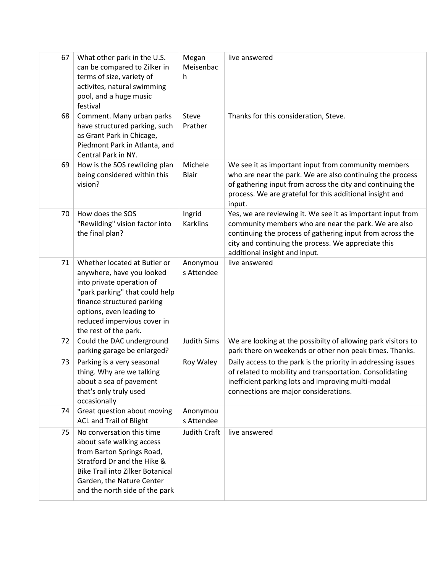| 67 | What other park in the U.S.<br>can be compared to Zilker in<br>terms of size, variety of<br>activites, natural swimming<br>pool, and a huge music<br>festival                                                                              | Megan<br>Meisenbac<br>h   | live answered                                                                                                                                                                                                                                                            |
|----|--------------------------------------------------------------------------------------------------------------------------------------------------------------------------------------------------------------------------------------------|---------------------------|--------------------------------------------------------------------------------------------------------------------------------------------------------------------------------------------------------------------------------------------------------------------------|
| 68 | Comment. Many urban parks<br>have structured parking, such<br>as Grant Park in Chicage,<br>Piedmont Park in Atlanta, and<br>Central Park in NY.                                                                                            | Steve<br>Prather          | Thanks for this consideration, Steve.                                                                                                                                                                                                                                    |
| 69 | How is the SOS rewilding plan<br>being considered within this<br>vision?                                                                                                                                                                   | Michele<br><b>Blair</b>   | We see it as important input from community members<br>who are near the park. We are also continuing the process<br>of gathering input from across the city and continuing the<br>process. We are grateful for this additional insight and<br>input.                     |
| 70 | How does the SOS<br>"Rewilding" vision factor into<br>the final plan?                                                                                                                                                                      | Ingrid<br><b>Karklins</b> | Yes, we are reviewing it. We see it as important input from<br>community members who are near the park. We are also<br>continuing the process of gathering input from across the<br>city and continuing the process. We appreciate this<br>additional insight and input. |
| 71 | Whether located at Butler or<br>anywhere, have you looked<br>into private operation of<br>"park parking" that could help<br>finance structured parking<br>options, even leading to<br>reduced impervious cover in<br>the rest of the park. | Anonymou<br>s Attendee    | live answered                                                                                                                                                                                                                                                            |
| 72 | Could the DAC underground<br>parking garage be enlarged?                                                                                                                                                                                   | <b>Judith Sims</b>        | We are looking at the possibilty of allowing park visitors to<br>park there on weekends or other non peak times. Thanks.                                                                                                                                                 |
| 73 | Parking is a very seasonal<br>thing. Why are we talking<br>about a sea of pavement<br>that's only truly used<br>occasionally                                                                                                               | Roy Waley                 | Daily access to the park is the priority in addressing issues<br>of related to mobility and transportation. Consolidating<br>inefficient parking lots and improving multi-modal<br>connections are major considerations.                                                 |
| 74 | Great question about moving<br><b>ACL and Trail of Blight</b>                                                                                                                                                                              | Anonymou<br>s Attendee    |                                                                                                                                                                                                                                                                          |
| 75 | No conversation this time<br>about safe walking access<br>from Barton Springs Road,<br>Stratford Dr and the Hike &<br><b>Bike Trail into Zilker Botanical</b><br>Garden, the Nature Center<br>and the north side of the park               | Judith Craft              | live answered                                                                                                                                                                                                                                                            |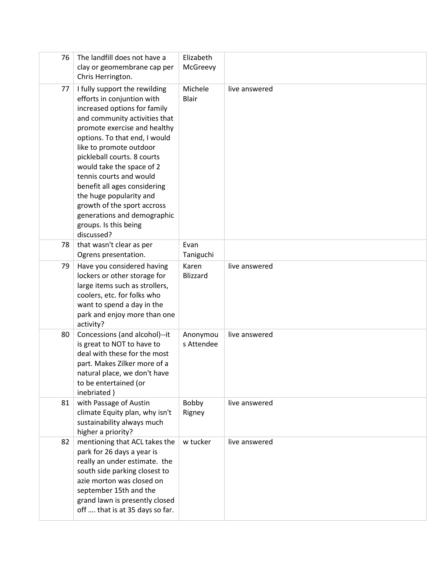| 76 | The landfill does not have a<br>clay or geomembrane cap per<br>Chris Herrington.                                                                                                                                                                                                                                                                                                                                                                                                | Elizabeth<br>McGreevy   |               |
|----|---------------------------------------------------------------------------------------------------------------------------------------------------------------------------------------------------------------------------------------------------------------------------------------------------------------------------------------------------------------------------------------------------------------------------------------------------------------------------------|-------------------------|---------------|
| 77 | I fully support the rewilding<br>efforts in conjuntion with<br>increased options for family<br>and community activities that<br>promote exercise and healthy<br>options. To that end, I would<br>like to promote outdoor<br>pickleball courts. 8 courts<br>would take the space of 2<br>tennis courts and would<br>benefit all ages considering<br>the huge popularity and<br>growth of the sport accross<br>generations and demographic<br>groups. Is this being<br>discussed? | Michele<br><b>Blair</b> | live answered |
| 78 | that wasn't clear as per<br>Ogrens presentation.                                                                                                                                                                                                                                                                                                                                                                                                                                | Evan<br>Taniguchi       |               |
| 79 | Have you considered having<br>lockers or other storage for<br>large items such as strollers,<br>coolers, etc. for folks who<br>want to spend a day in the<br>park and enjoy more than one<br>activity?                                                                                                                                                                                                                                                                          | Karen<br>Blizzard       | live answered |
| 80 | Concessions (and alcohol)--it<br>is great to NOT to have to<br>deal with these for the most<br>part. Makes Zilker more of a<br>natural place, we don't have<br>to be entertained (or<br>inebriated)                                                                                                                                                                                                                                                                             | Anonymou<br>s Attendee  | live answered |
| 81 | with Passage of Austin<br>climate Equity plan, why isn't<br>sustainability always much<br>higher a priority?                                                                                                                                                                                                                                                                                                                                                                    | Bobby<br>Rigney         | live answered |
| 82 | mentioning that ACL takes the<br>park for 26 days a year is<br>really an under estimate. the<br>south side parking closest to<br>azie morton was closed on<br>september 15th and the<br>grand lawn is presently closed<br>off  that is at 35 days so far.                                                                                                                                                                                                                       | w tucker                | live answered |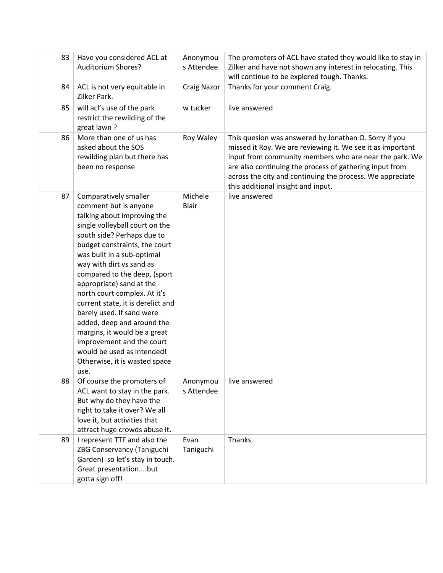| 83 | Have you considered ACL at<br><b>Auditorium Shores?</b>                                                                                                                                                                                                                                                                                                                                                                                                                                                                                                                  | Anonymou<br>s Attendee  | The promoters of ACL have stated they would like to stay in<br>Zilker and have not shown any interest in relocating. This<br>will continue to be explored tough. Thanks.                                                                                                                                                                    |
|----|--------------------------------------------------------------------------------------------------------------------------------------------------------------------------------------------------------------------------------------------------------------------------------------------------------------------------------------------------------------------------------------------------------------------------------------------------------------------------------------------------------------------------------------------------------------------------|-------------------------|---------------------------------------------------------------------------------------------------------------------------------------------------------------------------------------------------------------------------------------------------------------------------------------------------------------------------------------------|
| 84 | ACL is not very equitable in<br>Zilker Park.                                                                                                                                                                                                                                                                                                                                                                                                                                                                                                                             | <b>Craig Nazor</b>      | Thanks for your comment Craig.                                                                                                                                                                                                                                                                                                              |
| 85 | will acl's use of the park<br>restrict the rewilding of the<br>great lawn?                                                                                                                                                                                                                                                                                                                                                                                                                                                                                               | w tucker                | live answered                                                                                                                                                                                                                                                                                                                               |
| 86 | More than one of us has<br>asked about the SOS<br>rewilding plan but there has<br>been no response                                                                                                                                                                                                                                                                                                                                                                                                                                                                       | Roy Waley               | This quesion was answered by Jonathan O. Sorry if you<br>missed it Roy. We are reviewing it. We see it as important<br>input from community members who are near the park. We<br>are also continuing the process of gathering input from<br>across the city and continuing the process. We appreciate<br>this additional insight and input. |
| 87 | Comparatively smaller<br>comment but is anyone<br>talking about improving the<br>single volleyball court on the<br>south side? Perhaps due to<br>budget constraints, the court<br>was built in a sub-optimal<br>way with dirt vs sand as<br>compared to the deep, (sport<br>appropriate) sand at the<br>north court complex. At it's<br>current state, it is derelict and<br>barely used. If sand were<br>added, deep and around the<br>margins, it would be a great<br>improvement and the court<br>would be used as intended!<br>Otherwise, it is wasted space<br>use. | Michele<br><b>Blair</b> | live answered                                                                                                                                                                                                                                                                                                                               |
| 88 | Of course the promoters of<br>ACL want to stay in the park.<br>But why do they have the<br>right to take it over? We all<br>love it, but activities that<br>attract huge crowds abuse it.                                                                                                                                                                                                                                                                                                                                                                                | Anonymou<br>s Attendee  | live answered                                                                                                                                                                                                                                                                                                                               |
| 89 | I represent TTF and also the<br>ZBG Conservancy (Taniguchi<br>Garden) so let's stay in touch.<br>Great presentationbut<br>gotta sign off!                                                                                                                                                                                                                                                                                                                                                                                                                                | Evan<br>Taniguchi       | Thanks.                                                                                                                                                                                                                                                                                                                                     |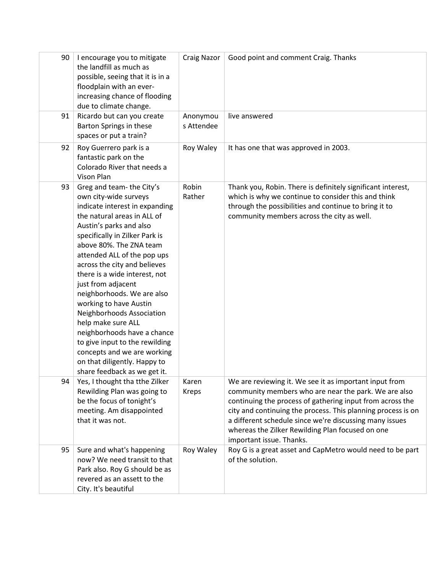| 90 | I encourage you to mitigate<br>the landfill as much as<br>possible, seeing that it is in a<br>floodplain with an ever-<br>increasing chance of flooding<br>due to climate change.                                                                                                                                                                                                                                                                                                                                                                                                                           | <b>Craig Nazor</b>     | Good point and comment Craig. Thanks                                                                                                                                                                                                                                                                                                                                                   |
|----|-------------------------------------------------------------------------------------------------------------------------------------------------------------------------------------------------------------------------------------------------------------------------------------------------------------------------------------------------------------------------------------------------------------------------------------------------------------------------------------------------------------------------------------------------------------------------------------------------------------|------------------------|----------------------------------------------------------------------------------------------------------------------------------------------------------------------------------------------------------------------------------------------------------------------------------------------------------------------------------------------------------------------------------------|
| 91 | Ricardo but can you create<br>Barton Springs in these<br>spaces or put a train?                                                                                                                                                                                                                                                                                                                                                                                                                                                                                                                             | Anonymou<br>s Attendee | live answered                                                                                                                                                                                                                                                                                                                                                                          |
| 92 | Roy Guerrero park is a<br>fantastic park on the<br>Colorado River that needs a<br>Vison Plan                                                                                                                                                                                                                                                                                                                                                                                                                                                                                                                | Roy Waley              | It has one that was approved in 2003.                                                                                                                                                                                                                                                                                                                                                  |
| 93 | Greg and team-the City's<br>own city-wide surveys<br>indicate interest in expanding<br>the natural areas in ALL of<br>Austin's parks and also<br>specifically in Zilker Park is<br>above 80%. The ZNA team<br>attended ALL of the pop ups<br>across the city and believes<br>there is a wide interest, not<br>just from adjacent<br>neighborhoods. We are also<br>working to have Austin<br>Neighborhoods Association<br>help make sure ALL<br>neighborhoods have a chance<br>to give input to the rewilding<br>concepts and we are working<br>on that diligently. Happy to<br>share feedback as we get it. | Robin<br>Rather        | Thank you, Robin. There is definitely significant interest,<br>which is why we continue to consider this and think<br>through the possibilities and continue to bring it to<br>community members across the city as well.                                                                                                                                                              |
| 94 | Yes, I thought tha tthe Zilker<br>Rewilding Plan was going to<br>be the focus of tonight's<br>meeting. Am disappointed<br>that it was not.                                                                                                                                                                                                                                                                                                                                                                                                                                                                  | Karen<br>Kreps         | We are reviewing it. We see it as important input from<br>community members who are near the park. We are also<br>continuing the process of gathering input from across the<br>city and continuing the process. This planning process is on<br>a different schedule since we're discussing many issues<br>whereas the Zilker Rewilding Plan focused on one<br>important issue. Thanks. |
| 95 | Sure and what's happening<br>now? We need transit to that<br>Park also. Roy G should be as<br>revered as an assett to the<br>City. It's beautiful                                                                                                                                                                                                                                                                                                                                                                                                                                                           | Roy Waley              | Roy G is a great asset and CapMetro would need to be part<br>of the solution.                                                                                                                                                                                                                                                                                                          |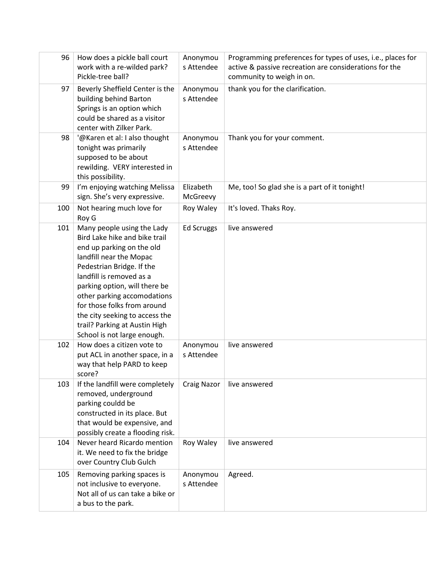| 96  | How does a pickle ball court<br>work with a re-wilded park?<br>Pickle-tree ball?                                                                                                                                                                                                                                                                                              | Anonymou<br>s Attendee | Programming preferences for types of uses, i.e., places for<br>active & passive recreation are considerations for the<br>community to weigh in on. |
|-----|-------------------------------------------------------------------------------------------------------------------------------------------------------------------------------------------------------------------------------------------------------------------------------------------------------------------------------------------------------------------------------|------------------------|----------------------------------------------------------------------------------------------------------------------------------------------------|
| 97  | Beverly Sheffield Center is the<br>building behind Barton<br>Springs is an option which<br>could be shared as a visitor<br>center with Zilker Park.                                                                                                                                                                                                                           | Anonymou<br>s Attendee | thank you for the clarification.                                                                                                                   |
| 98  | '@Karen et al: I also thought<br>tonight was primarily<br>supposed to be about<br>rewilding. VERY interested in<br>this possibility.                                                                                                                                                                                                                                          | Anonymou<br>s Attendee | Thank you for your comment.                                                                                                                        |
| 99  | I'm enjoying watching Melissa<br>sign. She's very expressive.                                                                                                                                                                                                                                                                                                                 | Elizabeth<br>McGreevy  | Me, too! So glad she is a part of it tonight!                                                                                                      |
| 100 | Not hearing much love for<br>Roy G                                                                                                                                                                                                                                                                                                                                            | Roy Waley              | It's loved. Thaks Roy.                                                                                                                             |
| 101 | Many people using the Lady<br>Bird Lake hike and bike trail<br>end up parking on the old<br>landfill near the Mopac<br>Pedestrian Bridge. If the<br>landfill is removed as a<br>parking option, will there be<br>other parking accomodations<br>for those folks from around<br>the city seeking to access the<br>trail? Parking at Austin High<br>School is not large enough. | Ed Scruggs             | live answered                                                                                                                                      |
| 102 | How does a citizen vote to<br>put ACL in another space, in a<br>way that help PARD to keep<br>score?                                                                                                                                                                                                                                                                          | Anonymou<br>s Attendee | live answered                                                                                                                                      |
| 103 | If the landfill were completely<br>removed, underground<br>parking couldd be<br>constructed in its place. But<br>that would be expensive, and<br>possibly create a flooding risk.                                                                                                                                                                                             | <b>Craig Nazor</b>     | live answered                                                                                                                                      |
| 104 | Never heard Ricardo mention<br>it. We need to fix the bridge<br>over Country Club Gulch                                                                                                                                                                                                                                                                                       | Roy Waley              | live answered                                                                                                                                      |
| 105 | Removing parking spaces is<br>not inclusive to everyone.<br>Not all of us can take a bike or<br>a bus to the park.                                                                                                                                                                                                                                                            | Anonymou<br>s Attendee | Agreed.                                                                                                                                            |